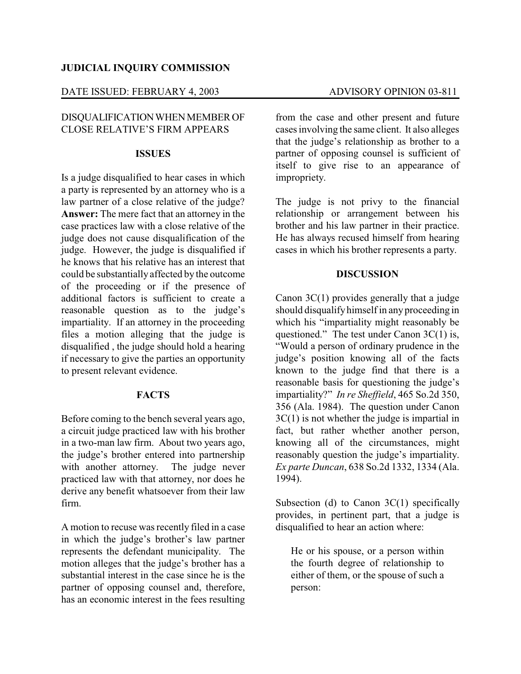## **JUDICIAL INQUIRY COMMISSION**

# DATE ISSUED: FEBRUARY 4, 2003 ADVISORY OPINION 03-811

# DISQUALIFICATIONWHENMEMBER OF CLOSE RELATIVE'S FIRM APPEARS

#### **ISSUES**

Is a judge disqualified to hear cases in which a party is represented by an attorney who is a law partner of a close relative of the judge? **Answer:** The mere fact that an attorney in the case practices law with a close relative of the judge does not cause disqualification of the judge. However, the judge is disqualified if he knows that his relative has an interest that could be substantially affected by the outcome of the proceeding or if the presence of additional factors is sufficient to create a reasonable question as to the judge's impartiality. If an attorney in the proceeding files a motion alleging that the judge is disqualified , the judge should hold a hearing if necessary to give the parties an opportunity to present relevant evidence.

## **FACTS**

Before coming to the bench several years ago, a circuit judge practiced law with his brother in a two-man law firm. About two years ago, the judge's brother entered into partnership with another attorney. The judge never practiced law with that attorney, nor does he derive any benefit whatsoever from their law firm.

A motion to recuse was recently filed in a case in which the judge's brother's law partner represents the defendant municipality. The motion alleges that the judge's brother has a substantial interest in the case since he is the partner of opposing counsel and, therefore, has an economic interest in the fees resulting from the case and other present and future cases involving the same client. It also alleges that the judge's relationship as brother to a partner of opposing counsel is sufficient of itself to give rise to an appearance of impropriety.

The judge is not privy to the financial relationship or arrangement between his brother and his law partner in their practice. He has always recused himself from hearing cases in which his brother represents a party.

## **DISCUSSION**

Canon 3C(1) provides generally that a judge should disqualifyhimself in any proceeding in which his "impartiality might reasonably be questioned." The test under Canon 3C(1) is, "Would a person of ordinary prudence in the judge's position knowing all of the facts known to the judge find that there is a reasonable basis for questioning the judge's impartiality?" *In re Sheffield*, 465 So.2d 350, 356 (Ala. 1984). The question under Canon 3C(1) is not whether the judge is impartial in fact, but rather whether another person, knowing all of the circumstances, might reasonably question the judge's impartiality. *Ex parte Duncan*, 638 So.2d 1332, 1334 (Ala. 1994).

Subsection (d) to Canon 3C(1) specifically provides, in pertinent part, that a judge is disqualified to hear an action where:

He or his spouse, or a person within the fourth degree of relationship to either of them, or the spouse of such a person: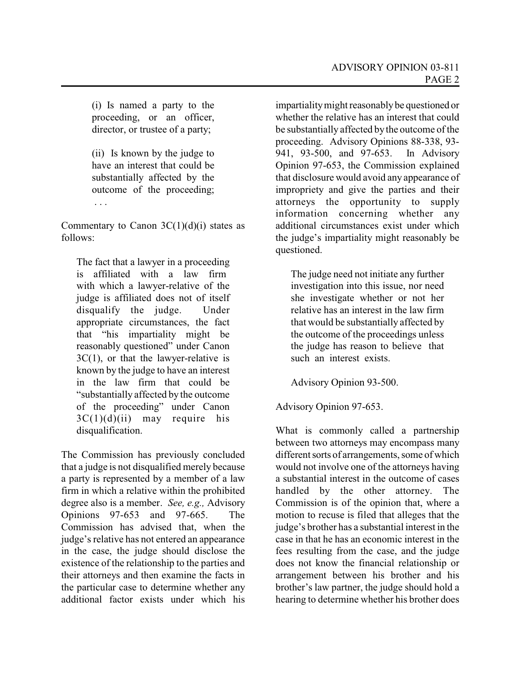(i) Is named a party to the proceeding, or an officer, director, or trustee of a party;

(ii) Is known by the judge to have an interest that could be substantially affected by the outcome of the proceeding; . . .

Commentary to Canon  $3C(1)(d)(i)$  states as follows:

The fact that a lawyer in a proceeding is affiliated with a law firm with which a lawyer-relative of the judge is affiliated does not of itself disqualify the judge. Under appropriate circumstances, the fact that "his impartiality might be reasonably questioned" under Canon  $3C(1)$ , or that the lawyer-relative is known by the judge to have an interest in the law firm that could be "substantially affected by the outcome of the proceeding" under Canon  $3C(1)(d)(ii)$  may require his disqualification.

The Commission has previously concluded that a judge is not disqualified merely because a party is represented by a member of a law firm in which a relative within the prohibited degree also is a member. *See, e.g.,* Advisory Opinions 97-653 and 97-665. The Commission has advised that, when the judge's relative has not entered an appearance in the case, the judge should disclose the existence of the relationship to the parties and their attorneys and then examine the facts in the particular case to determine whether any additional factor exists under which his

impartialitymight reasonablybe questioned or whether the relative has an interest that could be substantially affected bythe outcome of the proceeding. Advisory Opinions 88-338, 93- 941, 93-500, and 97-653. In Advisory Opinion 97-653, the Commission explained that disclosure would avoid any appearance of impropriety and give the parties and their attorneys the opportunity to supply information concerning whether any additional circumstances exist under which the judge's impartiality might reasonably be questioned.

The judge need not initiate any further investigation into this issue, nor need she investigate whether or not her relative has an interest in the law firm that would be substantially affected by the outcome of the proceedings unless the judge has reason to believe that such an interest exists.

Advisory Opinion 93-500.

Advisory Opinion 97-653.

What is commonly called a partnership between two attorneys may encompass many different sorts of arrangements, some of which would not involve one of the attorneys having a substantial interest in the outcome of cases handled by the other attorney. The Commission is of the opinion that, where a motion to recuse is filed that alleges that the judge's brother has a substantial interest in the case in that he has an economic interest in the fees resulting from the case, and the judge does not know the financial relationship or arrangement between his brother and his brother's law partner, the judge should hold a hearing to determine whether his brother does